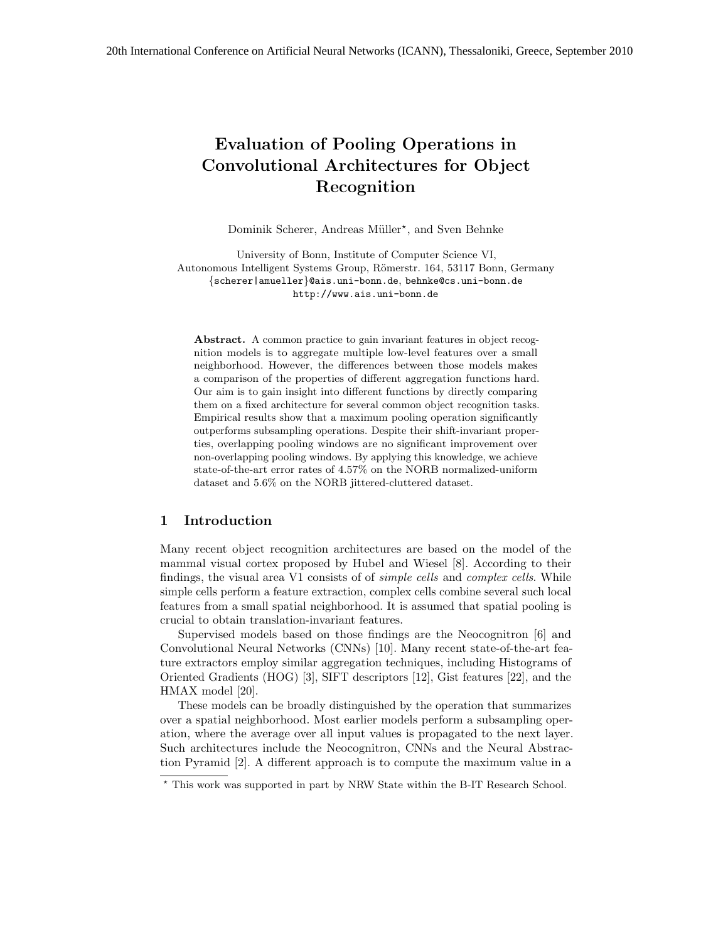# Evaluation of Pooling Operations in Convolutional Architectures for Object Recognition

Dominik Scherer, Andreas Müller<sup>\*</sup>, and Sven Behnke

University of Bonn, Institute of Computer Science VI, Autonomous Intelligent Systems Group, Römerstr. 164, 53117 Bonn, Germany {scherer|amueller}@ais.uni-bonn.de, behnke@cs.uni-bonn.de http://www.ais.uni-bonn.de

Abstract. A common practice to gain invariant features in object recognition models is to aggregate multiple low-level features over a small neighborhood. However, the differences between those models makes a comparison of the properties of different aggregation functions hard. Our aim is to gain insight into different functions by directly comparing them on a fixed architecture for several common object recognition tasks. Empirical results show that a maximum pooling operation significantly outperforms subsampling operations. Despite their shift-invariant properties, overlapping pooling windows are no significant improvement over non-overlapping pooling windows. By applying this knowledge, we achieve state-of-the-art error rates of 4.57% on the NORB normalized-uniform dataset and 5.6% on the NORB jittered-cluttered dataset.

## 1 Introduction

Many recent object recognition architectures are based on the model of the mammal visual cortex proposed by Hubel and Wiesel [8]. According to their findings, the visual area V1 consists of of simple cells and complex cells. While simple cells perform a feature extraction, complex cells combine several such local features from a small spatial neighborhood. It is assumed that spatial pooling is crucial to obtain translation-invariant features.

Supervised models based on those findings are the Neocognitron [6] and Convolutional Neural Networks (CNNs) [10]. Many recent state-of-the-art feature extractors employ similar aggregation techniques, including Histograms of Oriented Gradients (HOG) [3], SIFT descriptors [12], Gist features [22], and the HMAX model [20].

These models can be broadly distinguished by the operation that summarizes over a spatial neighborhood. Most earlier models perform a subsampling operation, where the average over all input values is propagated to the next layer. Such architectures include the Neocognitron, CNNs and the Neural Abstraction Pyramid [2]. A different approach is to compute the maximum value in a

<sup>?</sup> This work was supported in part by NRW State within the B-IT Research School.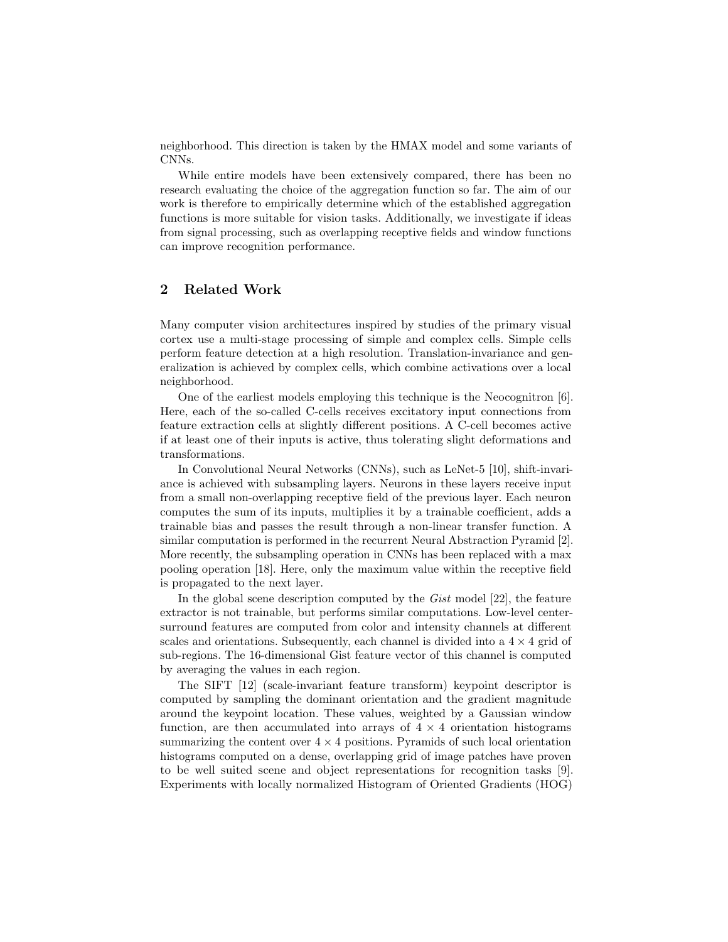neighborhood. This direction is taken by the HMAX model and some variants of CNNs.

While entire models have been extensively compared, there has been no research evaluating the choice of the aggregation function so far. The aim of our work is therefore to empirically determine which of the established aggregation functions is more suitable for vision tasks. Additionally, we investigate if ideas from signal processing, such as overlapping receptive fields and window functions can improve recognition performance.

# 2 Related Work

Many computer vision architectures inspired by studies of the primary visual cortex use a multi-stage processing of simple and complex cells. Simple cells perform feature detection at a high resolution. Translation-invariance and generalization is achieved by complex cells, which combine activations over a local neighborhood.

One of the earliest models employing this technique is the Neocognitron [6]. Here, each of the so-called C-cells receives excitatory input connections from feature extraction cells at slightly different positions. A C-cell becomes active if at least one of their inputs is active, thus tolerating slight deformations and transformations.

In Convolutional Neural Networks (CNNs), such as LeNet-5 [10], shift-invariance is achieved with subsampling layers. Neurons in these layers receive input from a small non-overlapping receptive field of the previous layer. Each neuron computes the sum of its inputs, multiplies it by a trainable coefficient, adds a trainable bias and passes the result through a non-linear transfer function. A similar computation is performed in the recurrent Neural Abstraction Pyramid [2]. More recently, the subsampling operation in CNNs has been replaced with a max pooling operation [18]. Here, only the maximum value within the receptive field is propagated to the next layer.

In the global scene description computed by the Gist model [22], the feature extractor is not trainable, but performs similar computations. Low-level centersurround features are computed from color and intensity channels at different scales and orientations. Subsequently, each channel is divided into a  $4 \times 4$  grid of sub-regions. The 16-dimensional Gist feature vector of this channel is computed by averaging the values in each region.

The SIFT [12] (scale-invariant feature transform) keypoint descriptor is computed by sampling the dominant orientation and the gradient magnitude around the keypoint location. These values, weighted by a Gaussian window function, are then accumulated into arrays of  $4 \times 4$  orientation histograms summarizing the content over  $4 \times 4$  positions. Pyramids of such local orientation histograms computed on a dense, overlapping grid of image patches have proven to be well suited scene and object representations for recognition tasks [9]. Experiments with locally normalized Histogram of Oriented Gradients (HOG)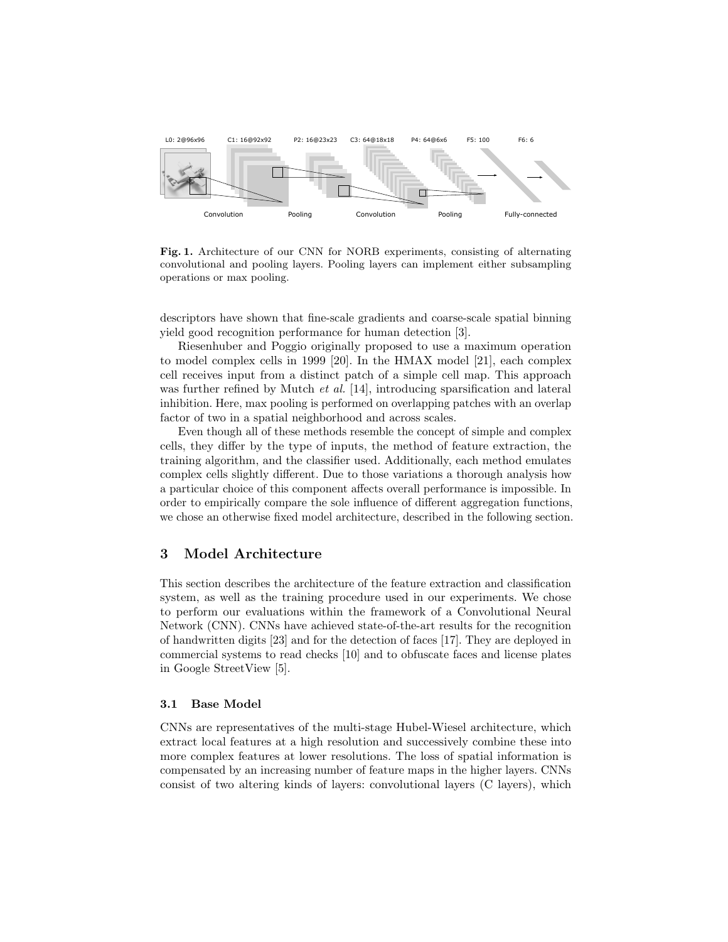

Fig. 1. Architecture of our CNN for NORB experiments, consisting of alternating convolutional and pooling layers. Pooling layers can implement either subsampling operations or max pooling.

descriptors have shown that fine-scale gradients and coarse-scale spatial binning yield good recognition performance for human detection [3].

Riesenhuber and Poggio originally proposed to use a maximum operation to model complex cells in 1999 [20]. In the HMAX model [21], each complex cell receives input from a distinct patch of a simple cell map. This approach was further refined by Mutch *et al.* [14], introducing sparsification and lateral inhibition. Here, max pooling is performed on overlapping patches with an overlap factor of two in a spatial neighborhood and across scales.

Even though all of these methods resemble the concept of simple and complex cells, they differ by the type of inputs, the method of feature extraction, the training algorithm, and the classifier used. Additionally, each method emulates complex cells slightly different. Due to those variations a thorough analysis how a particular choice of this component affects overall performance is impossible. In order to empirically compare the sole influence of different aggregation functions, we chose an otherwise fixed model architecture, described in the following section.

### 3 Model Architecture

This section describes the architecture of the feature extraction and classification system, as well as the training procedure used in our experiments. We chose to perform our evaluations within the framework of a Convolutional Neural Network (CNN). CNNs have achieved state-of-the-art results for the recognition of handwritten digits [23] and for the detection of faces [17]. They are deployed in commercial systems to read checks [10] and to obfuscate faces and license plates in Google StreetView [5].

### 3.1 Base Model

CNNs are representatives of the multi-stage Hubel-Wiesel architecture, which extract local features at a high resolution and successively combine these into more complex features at lower resolutions. The loss of spatial information is compensated by an increasing number of feature maps in the higher layers. CNNs consist of two altering kinds of layers: convolutional layers (C layers), which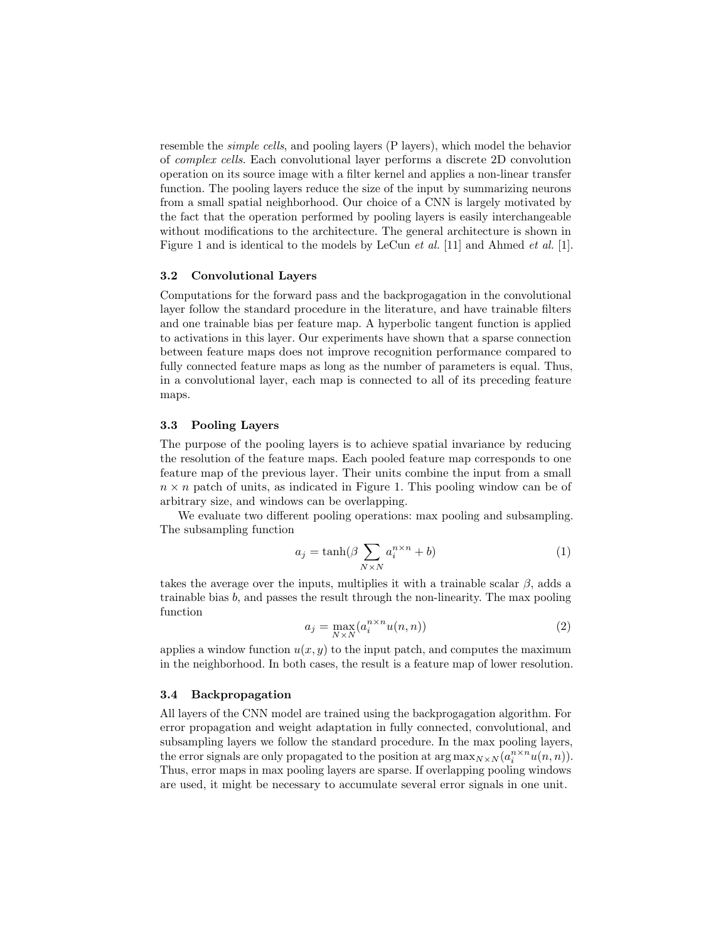resemble the simple cells, and pooling layers (P layers), which model the behavior of complex cells. Each convolutional layer performs a discrete 2D convolution operation on its source image with a filter kernel and applies a non-linear transfer function. The pooling layers reduce the size of the input by summarizing neurons from a small spatial neighborhood. Our choice of a CNN is largely motivated by the fact that the operation performed by pooling layers is easily interchangeable without modifications to the architecture. The general architecture is shown in Figure 1 and is identical to the models by LeCun *et al.* [11] and Ahmed *et al.* [1].

### 3.2 Convolutional Layers

Computations for the forward pass and the backprogagation in the convolutional layer follow the standard procedure in the literature, and have trainable filters and one trainable bias per feature map. A hyperbolic tangent function is applied to activations in this layer. Our experiments have shown that a sparse connection between feature maps does not improve recognition performance compared to fully connected feature maps as long as the number of parameters is equal. Thus, in a convolutional layer, each map is connected to all of its preceding feature maps.

### 3.3 Pooling Layers

The purpose of the pooling layers is to achieve spatial invariance by reducing the resolution of the feature maps. Each pooled feature map corresponds to one feature map of the previous layer. Their units combine the input from a small  $n \times n$  patch of units, as indicated in Figure 1. This pooling window can be of arbitrary size, and windows can be overlapping.

We evaluate two different pooling operations: max pooling and subsampling. The subsampling function

$$
a_j = \tanh(\beta \sum_{N \times N} a_i^{n \times n} + b)
$$
 (1)

takes the average over the inputs, multiplies it with a trainable scalar  $\beta$ , adds a trainable bias b, and passes the result through the non-linearity. The max pooling function

$$
a_j = \max_{N \times N} (a_i^{n \times n} u(n, n))
$$
\n(2)

applies a window function  $u(x, y)$  to the input patch, and computes the maximum in the neighborhood. In both cases, the result is a feature map of lower resolution.

### 3.4 Backpropagation

All layers of the CNN model are trained using the backprogagation algorithm. For error propagation and weight adaptation in fully connected, convolutional, and subsampling layers we follow the standard procedure. In the max pooling layers, the error signals are only propagated to the position at  $\arg \max_{N \times N} (a_i^{n \times n} u(n, n)).$ Thus, error maps in max pooling layers are sparse. If overlapping pooling windows are used, it might be necessary to accumulate several error signals in one unit.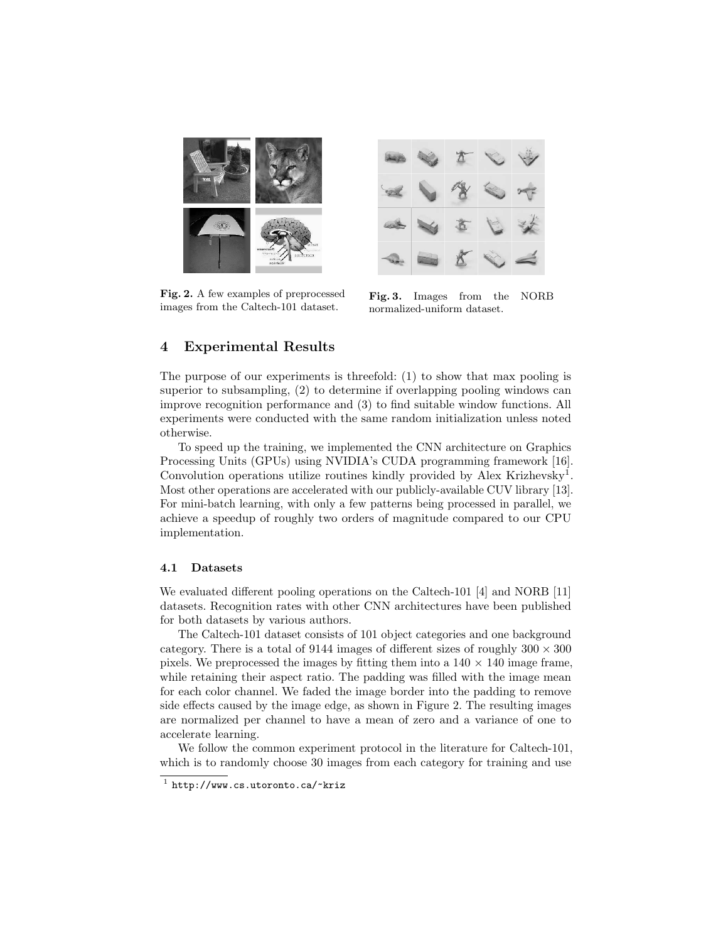

Fig. 2. A few examples of preprocessed images from the Caltech-101 dataset.



Fig. 3. Images from the NORB normalized-uniform dataset.

# 4 Experimental Results

The purpose of our experiments is threefold: (1) to show that max pooling is superior to subsampling, (2) to determine if overlapping pooling windows can improve recognition performance and (3) to find suitable window functions. All experiments were conducted with the same random initialization unless noted otherwise.

To speed up the training, we implemented the CNN architecture on Graphics Processing Units (GPUs) using NVIDIA's CUDA programming framework [16]. Convolution operations utilize routines kindly provided by Alex Krizhevsky<sup>1</sup>. Most other operations are accelerated with our publicly-available CUV library [13]. For mini-batch learning, with only a few patterns being processed in parallel, we achieve a speedup of roughly two orders of magnitude compared to our CPU implementation.

### 4.1 Datasets

We evaluated different pooling operations on the Caltech-101 [4] and NORB [11] datasets. Recognition rates with other CNN architectures have been published for both datasets by various authors.

The Caltech-101 dataset consists of 101 object categories and one background category. There is a total of 9144 images of different sizes of roughly  $300 \times 300$ pixels. We preprocessed the images by fitting them into a  $140 \times 140$  image frame, while retaining their aspect ratio. The padding was filled with the image mean for each color channel. We faded the image border into the padding to remove side effects caused by the image edge, as shown in Figure 2. The resulting images are normalized per channel to have a mean of zero and a variance of one to accelerate learning.

We follow the common experiment protocol in the literature for Caltech-101, which is to randomly choose 30 images from each category for training and use

 $<sup>1</sup>$  http://www.cs.utoronto.ca/~kriz</sup>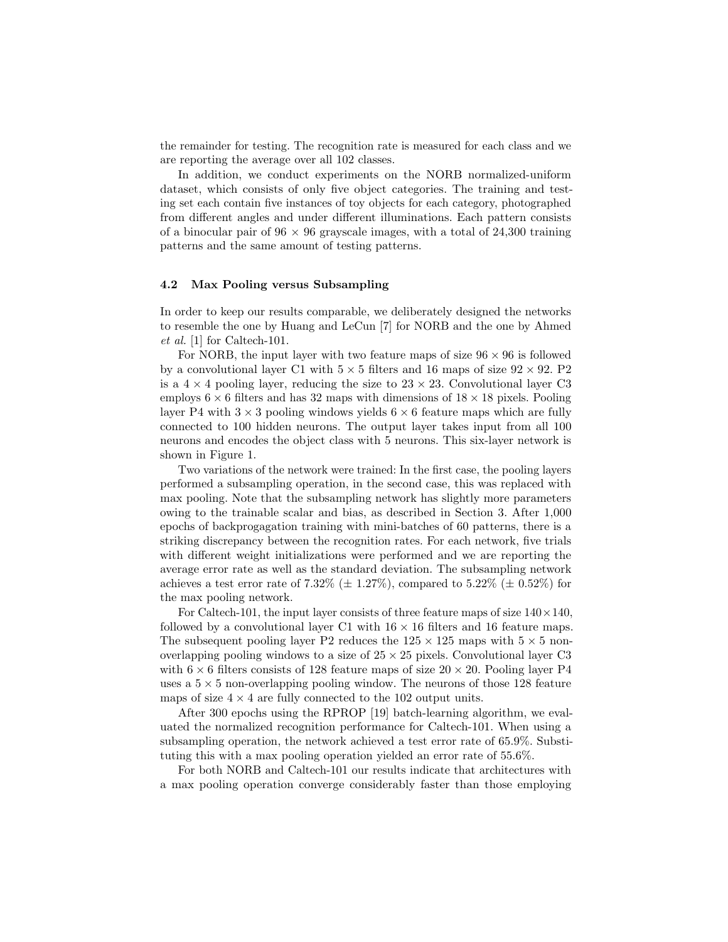the remainder for testing. The recognition rate is measured for each class and we are reporting the average over all 102 classes.

In addition, we conduct experiments on the NORB normalized-uniform dataset, which consists of only five object categories. The training and testing set each contain five instances of toy objects for each category, photographed from different angles and under different illuminations. Each pattern consists of a binocular pair of  $96 \times 96$  grayscale images, with a total of 24,300 training patterns and the same amount of testing patterns.

#### 4.2 Max Pooling versus Subsampling

In order to keep our results comparable, we deliberately designed the networks to resemble the one by Huang and LeCun [7] for NORB and the one by Ahmed et al. [1] for Caltech-101.

For NORB, the input layer with two feature maps of size  $96 \times 96$  is followed by a convolutional layer C1 with  $5 \times 5$  filters and 16 maps of size  $92 \times 92$ . P2 is a  $4 \times 4$  pooling layer, reducing the size to  $23 \times 23$ . Convolutional layer C3 employs  $6 \times 6$  filters and has 32 maps with dimensions of  $18 \times 18$  pixels. Pooling layer P4 with  $3 \times 3$  pooling windows yields  $6 \times 6$  feature maps which are fully connected to 100 hidden neurons. The output layer takes input from all 100 neurons and encodes the object class with 5 neurons. This six-layer network is shown in Figure 1.

Two variations of the network were trained: In the first case, the pooling layers performed a subsampling operation, in the second case, this was replaced with max pooling. Note that the subsampling network has slightly more parameters owing to the trainable scalar and bias, as described in Section 3. After 1,000 epochs of backprogagation training with mini-batches of 60 patterns, there is a striking discrepancy between the recognition rates. For each network, five trials with different weight initializations were performed and we are reporting the average error rate as well as the standard deviation. The subsampling network achieves a test error rate of 7.32% ( $\pm$  1.27%), compared to 5.22% ( $\pm$  0.52%) for the max pooling network.

For Caltech-101, the input layer consists of three feature maps of size  $140 \times 140$ , followed by a convolutional layer C1 with  $16 \times 16$  filters and 16 feature maps. The subsequent pooling layer P2 reduces the  $125 \times 125$  maps with  $5 \times 5$  nonoverlapping pooling windows to a size of  $25 \times 25$  pixels. Convolutional layer C3 with  $6 \times 6$  filters consists of 128 feature maps of size  $20 \times 20$ . Pooling layer P4 uses a  $5 \times 5$  non-overlapping pooling window. The neurons of those 128 feature maps of size  $4 \times 4$  are fully connected to the 102 output units.

After 300 epochs using the RPROP [19] batch-learning algorithm, we evaluated the normalized recognition performance for Caltech-101. When using a subsampling operation, the network achieved a test error rate of 65.9%. Substituting this with a max pooling operation yielded an error rate of 55.6%.

For both NORB and Caltech-101 our results indicate that architectures with a max pooling operation converge considerably faster than those employing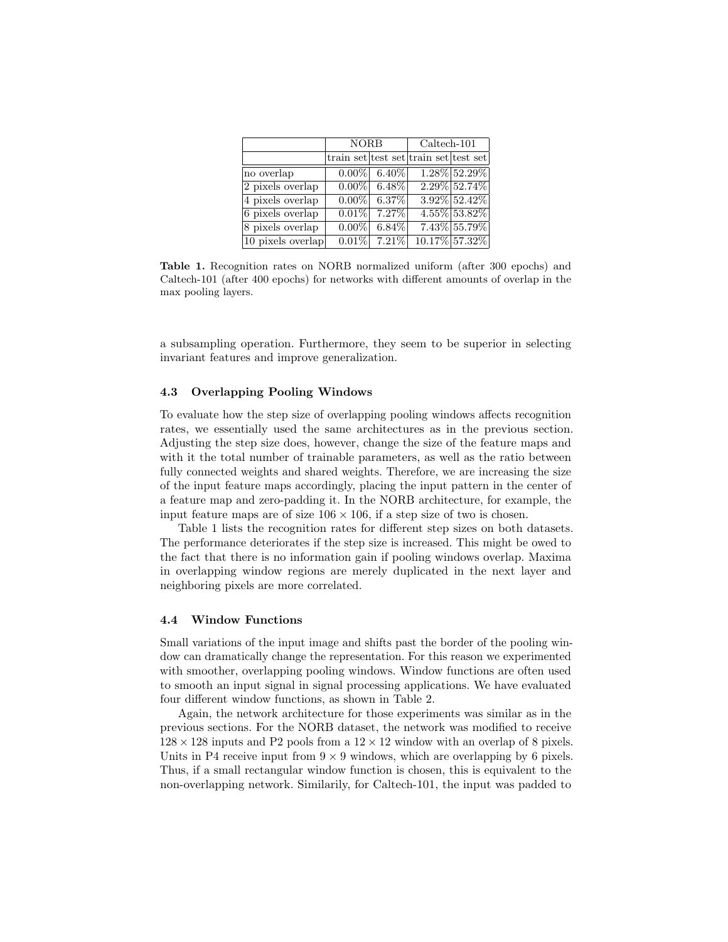|                    | <b>NORB</b> |          | $Caltech-101$                         |                 |  |
|--------------------|-------------|----------|---------------------------------------|-----------------|--|
|                    |             |          | train set test set train set test set |                 |  |
| no overlap         | $0.00\%$    | $6.40\%$ |                                       | 1.28% 52.29%    |  |
| 2 pixels overlap   | $0.00\%$    | $6.48\%$ |                                       | 2.29% 52.74%    |  |
| 4 pixels overlap   | $0.00\%$    | 6.37%    |                                       | $3.92\%$ 52.42% |  |
| $6$ pixels overlap | $0.01\%$    | $7.27\%$ |                                       | $4.55\%$ 53.82% |  |
| 8 pixels overlap   | $0.00\%$    | $6.84\%$ |                                       | 7.43% 55.79%    |  |
| 10 pixels overlap  | $0.01\%$    | 7.21%    |                                       | 10.17% 57.32%   |  |

Table 1. Recognition rates on NORB normalized uniform (after 300 epochs) and Caltech-101 (after 400 epochs) for networks with different amounts of overlap in the max pooling layers.

a subsampling operation. Furthermore, they seem to be superior in selecting invariant features and improve generalization.

### 4.3 Overlapping Pooling Windows

To evaluate how the step size of overlapping pooling windows affects recognition rates, we essentially used the same architectures as in the previous section. Adjusting the step size does, however, change the size of the feature maps and with it the total number of trainable parameters, as well as the ratio between fully connected weights and shared weights. Therefore, we are increasing the size of the input feature maps accordingly, placing the input pattern in the center of a feature map and zero-padding it. In the NORB architecture, for example, the input feature maps are of size  $106 \times 106$ , if a step size of two is chosen.

Table 1 lists the recognition rates for different step sizes on both datasets. The performance deteriorates if the step size is increased. This might be owed to the fact that there is no information gain if pooling windows overlap. Maxima in overlapping window regions are merely duplicated in the next layer and neighboring pixels are more correlated.

### 4.4 Window Functions

Small variations of the input image and shifts past the border of the pooling window can dramatically change the representation. For this reason we experimented with smoother, overlapping pooling windows. Window functions are often used to smooth an input signal in signal processing applications. We have evaluated four different window functions, as shown in Table 2.

Again, the network architecture for those experiments was similar as in the previous sections. For the NORB dataset, the network was modified to receive  $128 \times 128$  inputs and P2 pools from a  $12 \times 12$  window with an overlap of 8 pixels. Units in P4 receive input from  $9 \times 9$  windows, which are overlapping by 6 pixels. Thus, if a small rectangular window function is chosen, this is equivalent to the non-overlapping network. Similarily, for Caltech-101, the input was padded to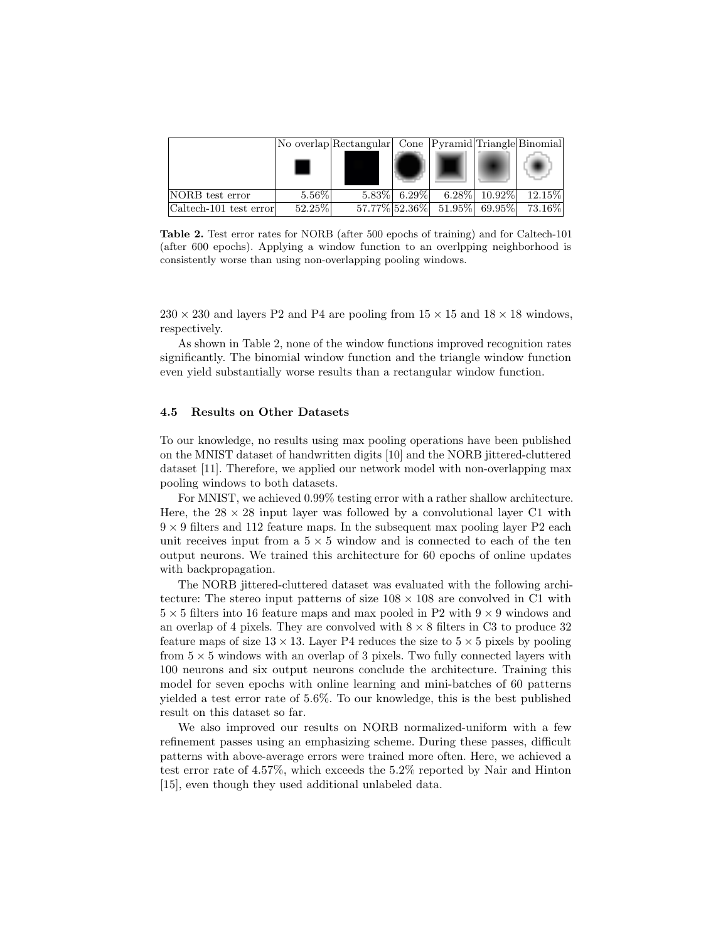|                        |          | No overlap Rectangular Cone Pyramid Triangle Binomial |                 |                                      |                  |           |
|------------------------|----------|-------------------------------------------------------|-----------------|--------------------------------------|------------------|-----------|
|                        |          |                                                       |                 |                                      |                  |           |
| NORB test error        | $5.56\%$ |                                                       | $5.83\%$ 6.29\% |                                      | $6.28\%$ 10.92\% | $12.15\%$ |
| Caltech-101 test error | 52.25%   |                                                       |                 | $57.77\%$ $52.36\%$ $51.95\%$ 69.95% |                  | $73.16\%$ |

Table 2. Test error rates for NORB (after 500 epochs of training) and for Caltech-101 (after 600 epochs). Applying a window function to an overlpping neighborhood is consistently worse than using non-overlapping pooling windows.

 $230 \times 230$  and layers P2 and P4 are pooling from  $15 \times 15$  and  $18 \times 18$  windows, respectively.

As shown in Table 2, none of the window functions improved recognition rates significantly. The binomial window function and the triangle window function even yield substantially worse results than a rectangular window function.

### 4.5 Results on Other Datasets

To our knowledge, no results using max pooling operations have been published on the MNIST dataset of handwritten digits [10] and the NORB jittered-cluttered dataset [11]. Therefore, we applied our network model with non-overlapping max pooling windows to both datasets.

For MNIST, we achieved 0.99% testing error with a rather shallow architecture. Here, the  $28 \times 28$  input layer was followed by a convolutional layer C1 with  $9 \times 9$  filters and 112 feature maps. In the subsequent max pooling layer P2 each unit receives input from a  $5 \times 5$  window and is connected to each of the ten output neurons. We trained this architecture for 60 epochs of online updates with backpropagation.

The NORB jittered-cluttered dataset was evaluated with the following architecture: The stereo input patterns of size  $108 \times 108$  are convolved in C1 with  $5 \times 5$  filters into 16 feature maps and max pooled in P2 with  $9 \times 9$  windows and an overlap of 4 pixels. They are convolved with  $8 \times 8$  filters in C3 to produce 32 feature maps of size  $13 \times 13$ . Layer P4 reduces the size to  $5 \times 5$  pixels by pooling from  $5 \times 5$  windows with an overlap of 3 pixels. Two fully connected layers with 100 neurons and six output neurons conclude the architecture. Training this model for seven epochs with online learning and mini-batches of 60 patterns yielded a test error rate of 5.6%. To our knowledge, this is the best published result on this dataset so far.

We also improved our results on NORB normalized-uniform with a few refinement passes using an emphasizing scheme. During these passes, difficult patterns with above-average errors were trained more often. Here, we achieved a test error rate of 4.57%, which exceeds the 5.2% reported by Nair and Hinton [15], even though they used additional unlabeled data.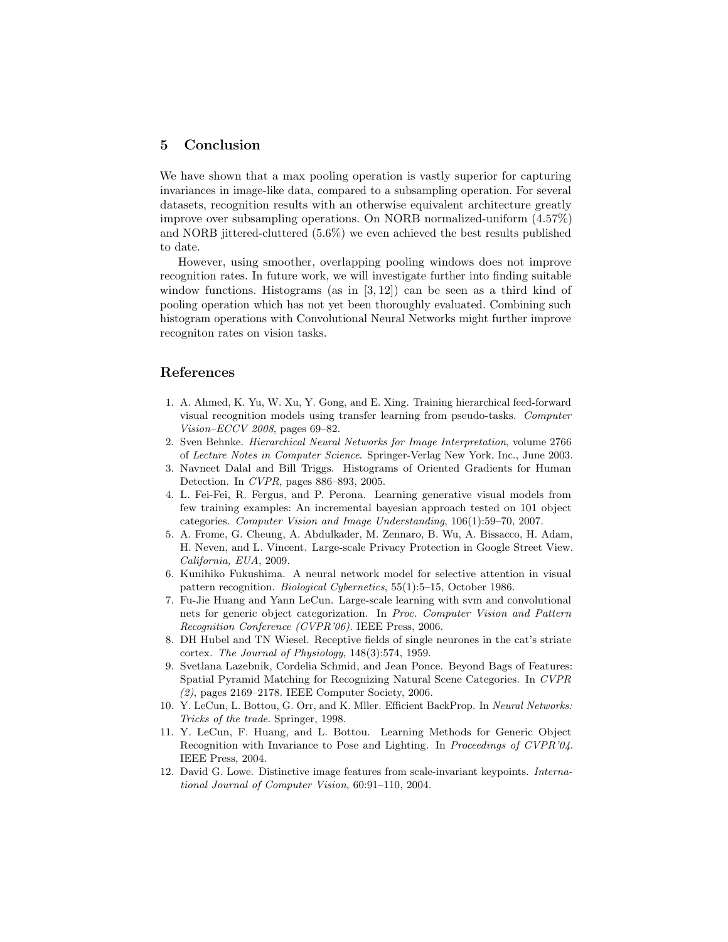## 5 Conclusion

We have shown that a max pooling operation is vastly superior for capturing invariances in image-like data, compared to a subsampling operation. For several datasets, recognition results with an otherwise equivalent architecture greatly improve over subsampling operations. On NORB normalized-uniform (4.57%) and NORB jittered-cluttered (5.6%) we even achieved the best results published to date.

However, using smoother, overlapping pooling windows does not improve recognition rates. In future work, we will investigate further into finding suitable window functions. Histograms (as in  $[3, 12]$ ) can be seen as a third kind of pooling operation which has not yet been thoroughly evaluated. Combining such histogram operations with Convolutional Neural Networks might further improve recogniton rates on vision tasks.

# References

- 1. A. Ahmed, K. Yu, W. Xu, Y. Gong, and E. Xing. Training hierarchical feed-forward visual recognition models using transfer learning from pseudo-tasks. Computer Vision–ECCV 2008, pages 69–82.
- 2. Sven Behnke. Hierarchical Neural Networks for Image Interpretation, volume 2766 of Lecture Notes in Computer Science. Springer-Verlag New York, Inc., June 2003.
- 3. Navneet Dalal and Bill Triggs. Histograms of Oriented Gradients for Human Detection. In CVPR, pages 886–893, 2005.
- 4. L. Fei-Fei, R. Fergus, and P. Perona. Learning generative visual models from few training examples: An incremental bayesian approach tested on 101 object categories. Computer Vision and Image Understanding, 106(1):59–70, 2007.
- 5. A. Frome, G. Cheung, A. Abdulkader, M. Zennaro, B. Wu, A. Bissacco, H. Adam, H. Neven, and L. Vincent. Large-scale Privacy Protection in Google Street View. California, EUA, 2009.
- 6. Kunihiko Fukushima. A neural network model for selective attention in visual pattern recognition. Biological Cybernetics, 55(1):5–15, October 1986.
- 7. Fu-Jie Huang and Yann LeCun. Large-scale learning with svm and convolutional nets for generic object categorization. In Proc. Computer Vision and Pattern Recognition Conference (CVPR'06). IEEE Press, 2006.
- 8. DH Hubel and TN Wiesel. Receptive fields of single neurones in the cat's striate cortex. The Journal of Physiology, 148(3):574, 1959.
- 9. Svetlana Lazebnik, Cordelia Schmid, and Jean Ponce. Beyond Bags of Features: Spatial Pyramid Matching for Recognizing Natural Scene Categories. In CVPR (2), pages 2169–2178. IEEE Computer Society, 2006.
- 10. Y. LeCun, L. Bottou, G. Orr, and K. Mller. Efficient BackProp. In Neural Networks: Tricks of the trade. Springer, 1998.
- 11. Y. LeCun, F. Huang, and L. Bottou. Learning Methods for Generic Object Recognition with Invariance to Pose and Lighting. In Proceedings of CVPR'04. IEEE Press, 2004.
- 12. David G. Lowe. Distinctive image features from scale-invariant keypoints. International Journal of Computer Vision, 60:91–110, 2004.